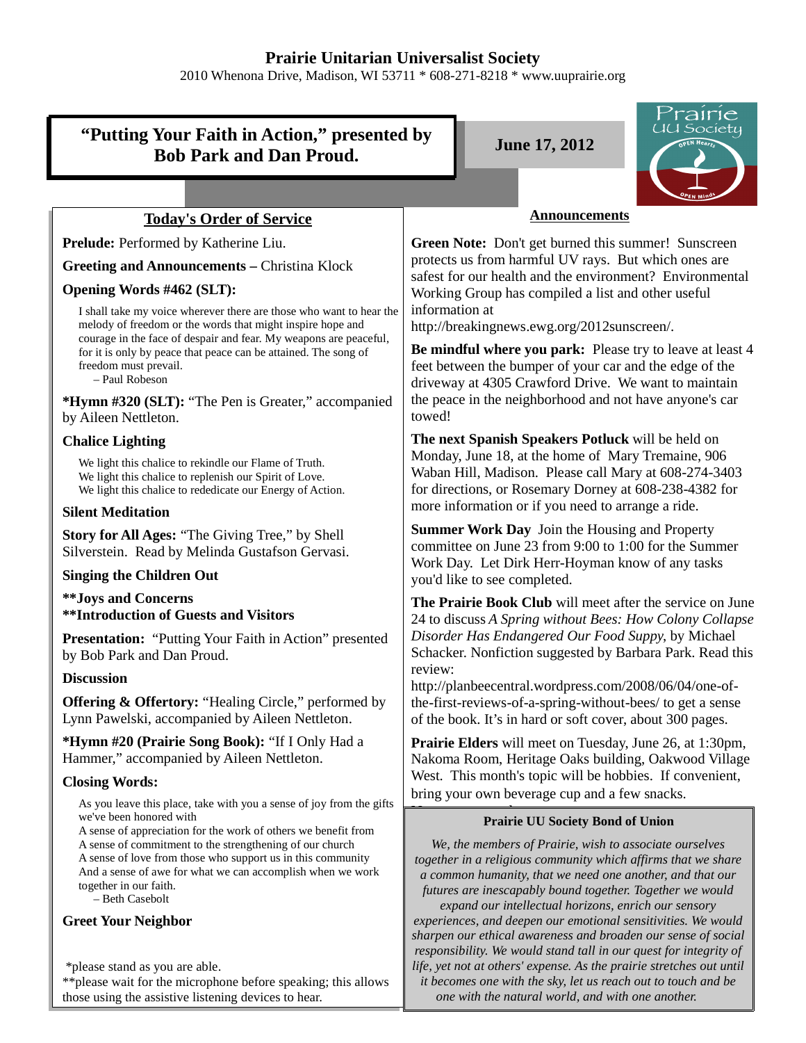# **Prairie Unitarian Universalist Society**

2010 Whenona Drive, Madison, WI 53711 \* 608-271-8218 \* www.uuprairie.org

# **"Putting Your Faith in Action," presented by Bob Park and Dan Proud. June 17, 2012**



# **Today's Order of Service**

**Prelude:** Performed by Katherine Liu.

**Greeting and Announcements –** Christina Klock

# **Opening Words #462 (SLT):**

I shall take my voice wherever there are those who want to hear the melody of freedom or the words that might inspire hope and courage in the face of despair and fear. My weapons are peaceful, for it is only by peace that peace can be attained. The song of freedom must prevail.

– Paul Robeson

**\*Hymn #320 (SLT):** "The Pen is Greater," accompanied by Aileen Nettleton.

# **Chalice Lighting**

We light this chalice to rekindle our Flame of Truth. We light this chalice to replenish our Spirit of Love. We light this chalice to rededicate our Energy of Action.

## **Silent Meditation**

**Story for All Ages:** "The Giving Tree," by Shell Silverstein. Read by Melinda Gustafson Gervasi.

#### **Singing the Children Out**

**\*\*Joys and Concerns \*\*Introduction of Guests and Visitors**

**Presentation:** "Putting Your Faith in Action" presented by Bob Park and Dan Proud.

#### **Discussion**

**Offering & Offertory:** "Healing Circle," performed by Lynn Pawelski, accompanied by Aileen Nettleton.

**\*Hymn #20 (Prairie Song Book):** "If I Only Had a Hammer," accompanied by Aileen Nettleton.

# **Closing Words:**

As you leave this place, take with you a sense of joy from the gifts we've been honored with

A sense of appreciation for the work of others we benefit from A sense of commitment to the strengthening of our church A sense of love from those who support us in this community And a sense of awe for what we can accomplish when we work together in our faith.

– Beth Casebolt

# **Greet Your Neighbor**

\*please stand as you are able.

\*\*please wait for the microphone before speaking; this allows those using the assistive listening devices to hear.

#### **Announcements**

**Green Note:** Don't get burned this summer! Sunscreen protects us from harmful UV rays. But which ones are safest for our health and the environment? Environmental Working Group has compiled a list and other useful information at

http://breakingnews.ewg.org/2012sunscreen/.

**Be mindful where you park:** Please try to leave at least 4 feet between the bumper of your car and the edge of the driveway at 4305 Crawford Drive. We want to maintain the peace in the neighborhood and not have anyone's car towed!

**The next Spanish Speakers Potluck** will be held on Monday, June 18, at the home of Mary Tremaine, 906 Waban Hill, Madison. Please call Mary at 608-274-3403 for directions, or Rosemary Dorney at 608-238-4382 for more information or if you need to arrange a ride.

**Summer Work Day** Join the Housing and Property committee on June 23 from 9:00 to 1:00 for the Summer Work Day. Let Dirk Herr-Hoyman know of any tasks you'd like to see completed.

**The Prairie Book Club** will meet after the service on June 24 to discuss *A Spring without Bees: How Colony Collapse Disorder Has Endangered Our Food Suppy*, by Michael Schacker. Nonfiction suggested by Barbara Park. Read this review:

http://planbeecentral.wordpress.com/2008/06/04/one-ofthe-first-reviews-of-a-spring-without-bees/ to get a sense of the book. It's in hard or soft cover, about 300 pages.

**Prairie Elders** will meet on Tuesday, June 26, at 1:30pm, Nakoma Room, Heritage Oaks building, Oakwood Village West. This month's topic will be hobbies. If convenient, bring your own beverage cup and a few snacks.

# **Prairie UU Society Bond of Union**

*We, the members of Prairie, wish to associate ourselves together in a religious community which affirms that we share a common humanity, that we need one another, and that our futures are inescapably bound together. Together we would expand our intellectual horizons, enrich our sensory experiences, and deepen our emotional sensitivities. We would sharpen our ethical awareness and broaden our sense of social responsibility. We would stand tall in our quest for integrity of life, yet not at others' expense. As the prairie stretches out until it becomes one with the sky, let us reach out to touch and be one with the natural world, and with one another.*